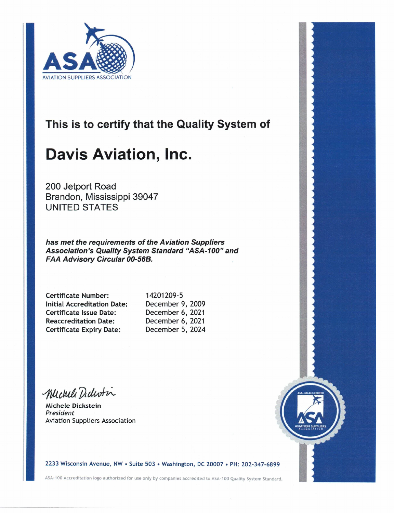

#### This is to certify that the Quality System of

# **Davis Aviation, Inc.**

200 Jetport Road Brandon, Mississippi 39047 **UNITED STATES** 

has met the requirements of the Aviation Suppliers Association's Quality System Standard "ASA-100" and FAA Advisory Circular 00-56B.

| <b>Certificate Number:</b>         |  |
|------------------------------------|--|
| <b>Initial Accreditation Date:</b> |  |
| <b>Certificate Issue Date:</b>     |  |
| <b>Reaccreditation Date:</b>       |  |
| <b>Certificate Expiry Date:</b>    |  |

14201209-5 December 9, 2009 December 6, 2021 December 6, 2021 December 5, 2024

Michell Didersin

**Michele Dickstein** President **Aviation Suppliers Association** 



2233 Wisconsin Avenue, NW · Suite 503 · Washington, DC 20007 · PH: 202-347-6899

ASA-100 Accreditation logo authorized for use only by companies accredited to ASA-100 Quality System Standard.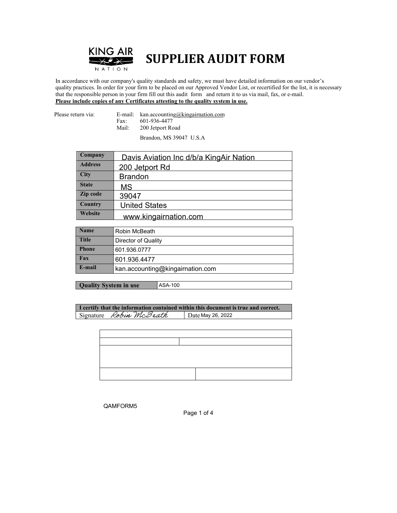

### **SUPPLIER AUDIT FORM**

 In accordance with our company's quality standards and safety, we must have detailed information on our vendor's quality practices. In order for your firm to be placed on our Approved Vendor List, or recertified for the list, it is necessary that the responsible person in your firm fill out this audit form and return it to us via mail, fax, or e-mail. **Please include copies of any Certificates attesting to the quality system in use.**

Please return via: E-mail: kan.accounting@kingairnation.com Fax: 601-936-4477<br>Mail: 200 Jetport Ro 200 Jetport Road

Brandon, MS 39047 U.S.A

| Company        | Davis Aviation Inc d/b/a KingAir Nation |
|----------------|-----------------------------------------|
| <b>Address</b> | 200 Jetport Rd                          |
| City           | <b>Brandon</b>                          |
| <b>State</b>   | MS.                                     |
| Zip code       | 39047                                   |
| Country        | <b>United States</b>                    |
| Website        | www.kingairnation.com                   |

| <b>Name</b>  | Robin McBeath                    |
|--------------|----------------------------------|
| <b>Title</b> | Director of Quality              |
| <b>Phone</b> | 601.936.0777                     |
| Fax          | 601.936.4477                     |
| E-mail       | kan.accounting@kingairnation.com |

**Quality System in use** ASA-100

**I certify that the information contained within this document is true and correct.** Signature Robin McBeath Date May 26, 2022

QAMFORM5

Page 1 of 4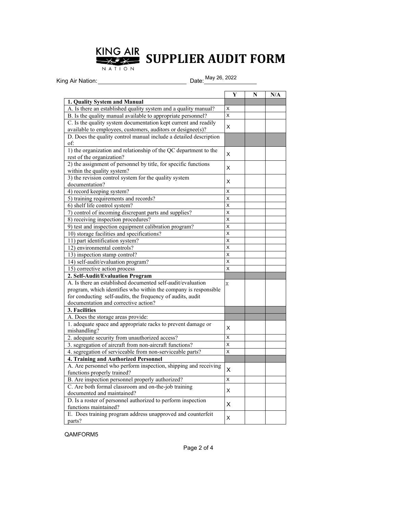

# **SUPPLIER AUDIT FORM**

King Air Nation: Date: May 26, 2022

|                                                                                                    | Y                       | N | N/A |
|----------------------------------------------------------------------------------------------------|-------------------------|---|-----|
| 1. Quality System and Manual                                                                       |                         |   |     |
| A. Is there an established quality system and a quality manual?                                    | X                       |   |     |
| B. Is the quality manual available to appropriate personnel?                                       | $\overline{\mathsf{x}}$ |   |     |
| C. Is the quality system documentation kept current and readily                                    | X                       |   |     |
| available to employees, customers, auditors or designee(s)?                                        |                         |   |     |
| D. Does the quality control manual include a detailed description                                  |                         |   |     |
| of:                                                                                                |                         |   |     |
| 1) the organization and relationship of the QC department to the                                   | X                       |   |     |
| rest of the organization?                                                                          |                         |   |     |
| 2) the assignment of personnel by title, for specific functions                                    | X                       |   |     |
| within the quality system?                                                                         |                         |   |     |
| 3) the revision control system for the quality system                                              | X                       |   |     |
| documentation?                                                                                     |                         |   |     |
| 4) record keeping system?                                                                          | X                       |   |     |
| 5) training requirements and records?                                                              | X                       |   |     |
| 6) shelf life control system?                                                                      | X                       |   |     |
| 7) control of incoming discrepant parts and supplies?                                              | X                       |   |     |
| 8) receiving inspection procedures?                                                                | X                       |   |     |
| 9) test and inspection equipment calibration program?                                              | X                       |   |     |
| 10) storage facilities and specifications?                                                         | X                       |   |     |
| 11) part identification system?                                                                    | X                       |   |     |
| 12) environmental controls?                                                                        | X                       |   |     |
| 13) inspection stamp control?                                                                      | $\overline{\mathsf{x}}$ |   |     |
| 14) self-audit/evaluation program?                                                                 | X                       |   |     |
| 15) corrective action process                                                                      | $\mathsf{x}$            |   |     |
| 2. Self-Audit/Evaluation Program                                                                   |                         |   |     |
| A. Is there an established documented self-audit/evaluation                                        | X                       |   |     |
| program, which identifies who within the company is responsible                                    |                         |   |     |
| for conducting self-audits, the frequency of audits, audit<br>documentation and corrective action? |                         |   |     |
| 3. Facilities                                                                                      |                         |   |     |
|                                                                                                    |                         |   |     |
| A. Does the storage areas provide:<br>1. adequate space and appropriate racks to prevent damage or |                         |   |     |
| mishandling?                                                                                       | X                       |   |     |
| 2. adequate security from unauthorized access?                                                     | X                       |   |     |
| 3. segregation of aircraft from non-aircraft functions?                                            | X                       |   |     |
| 4. segregation of serviceable from non-serviceable parts?                                          | $\overline{\mathsf{x}}$ |   |     |
| 4. Training and Authorized Personnel                                                               |                         |   |     |
| A. Are personnel who perform inspection, shipping and receiving                                    |                         |   |     |
| functions properly trained?                                                                        | X                       |   |     |
| B. Are inspection personnel properly authorized?                                                   | X                       |   |     |
| C. Are both formal classroom and on-the-job training                                               |                         |   |     |
| documented and maintained?                                                                         | X                       |   |     |
| D. Is a roster of personnel authorized to perform inspection                                       |                         |   |     |
| functions maintained?                                                                              | X                       |   |     |
| E. Does training program address unapproved and counterfeit                                        |                         |   |     |
| parts?                                                                                             | X                       |   |     |

QAMFORM5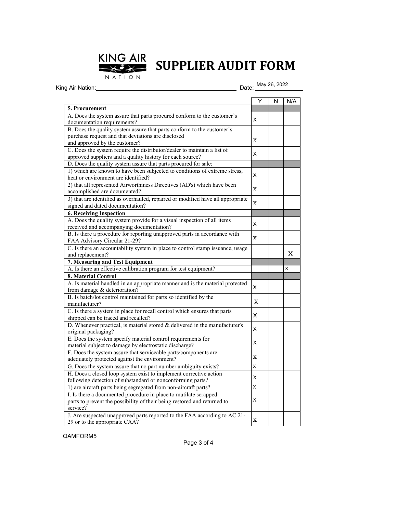

## **SUPPLIER AUDIT FORM**

NATION

King Air Nation:

Date: May 26, 2022

|                                                                                 | Υ | N | N/A |
|---------------------------------------------------------------------------------|---|---|-----|
| <b>5. Procurement</b>                                                           |   |   |     |
| A. Does the system assure that parts procured conform to the customer's         |   |   |     |
| documentation requirements?                                                     | X |   |     |
| B. Does the quality system assure that parts conform to the customer's          |   |   |     |
| purchase request and that deviations are disclosed                              |   |   |     |
| and approved by the customer?                                                   | Χ |   |     |
| C. Does the system require the distributor/dealer to maintain a list of         |   |   |     |
| approved suppliers and a quality history for each source?                       | X |   |     |
| D. Does the quality system assure that parts procured for sale:                 |   |   |     |
| 1) which are known to have been subjected to conditions of extreme stress,      |   |   |     |
| heat or environment are identified?                                             | X |   |     |
| 2) that all represented Airworthiness Directives (AD's) which have been         |   |   |     |
| accomplished are documented?                                                    | X |   |     |
| 3) that are identified as overhauled, repaired or modified have all appropriate |   |   |     |
| signed and dated documentation?                                                 | Χ |   |     |
| <b>6. Receiving Inspection</b>                                                  |   |   |     |
| A. Does the quality system provide for a visual inspection of all items         |   |   |     |
| received and accompanying documentation?                                        | X |   |     |
| B. Is there a procedure for reporting unapproved parts in accordance with       |   |   |     |
| FAA Advisory Circular 21-29?                                                    | Χ |   |     |
| C. Is there an accountability system in place to control stamp issuance, usage  |   |   |     |
| and replacement?                                                                |   |   | X   |
| 7. Measuring and Test Equipment                                                 |   |   |     |
| A. Is there an effective calibration program for test equipment?                |   |   | X   |
| 8. Material Control                                                             |   |   |     |
| A. Is material handled in an appropriate manner and is the material protected   |   |   |     |
| from damage & deterioration?                                                    | X |   |     |
| B. Is batch/lot control maintained for parts so identified by the               |   |   |     |
| manufacturer?                                                                   | Χ |   |     |
| C. Is there a system in place for recall control which ensures that parts       |   |   |     |
| shipped can be traced and recalled?                                             | X |   |     |
| D. Whenever practical, is material stored $&$ delivered in the manufacturer's   |   |   |     |
| original packaging?                                                             | X |   |     |
| E. Does the system specify material control requirements for                    |   |   |     |
| material subject to damage by electrostatic discharge?                          | X |   |     |
| F. Does the system assure that serviceable parts/components are                 |   |   |     |
| adequately protected against the environment?                                   | Х |   |     |
| G. Does the system assure that no part number ambiguity exists?                 | Χ |   |     |
| H. Does a closed loop system exist to implement corrective action               |   |   |     |
| following detection of substandard or nonconforming parts?                      | х |   |     |
| 1) are aircraft parts being segregated from non-aircraft parts?                 | Χ |   |     |
| I. Is there a documented procedure in place to mutilate scrapped                |   |   |     |
| parts to prevent the possibility of their being restored and returned to        | X |   |     |
| service?                                                                        |   |   |     |
| J. Are suspected unapproved parts reported to the FAA according to AC 21-       |   |   |     |
| 29 or to the appropriate CAA?                                                   | Χ |   |     |

QAMFORM5